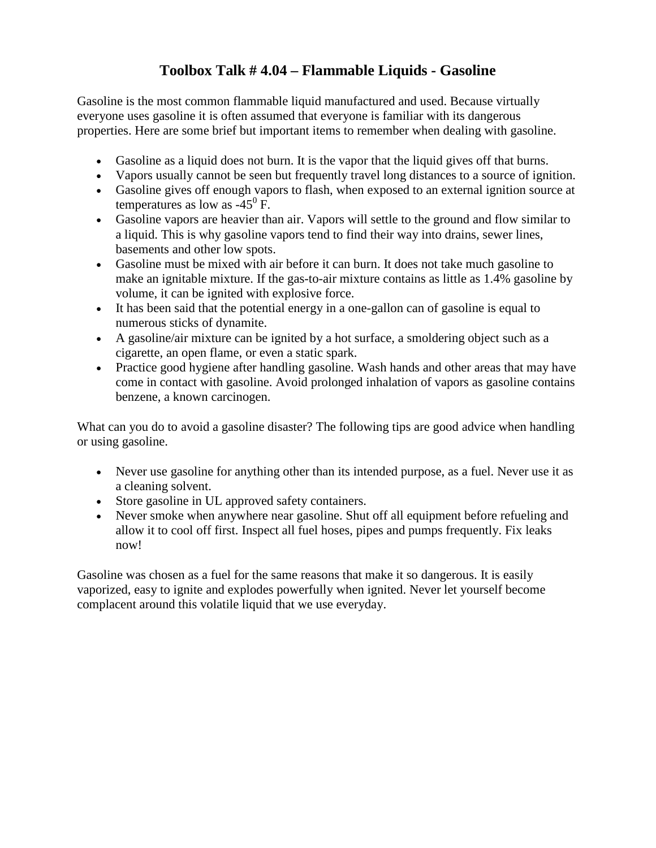## **Toolbox Talk # 4.04 – Flammable Liquids - Gasoline**

Gasoline is the most common flammable liquid manufactured and used. Because virtually everyone uses gasoline it is often assumed that everyone is familiar with its dangerous properties. Here are some brief but important items to remember when dealing with gasoline.

- Gasoline as a liquid does not burn. It is the vapor that the liquid gives off that burns.
- Vapors usually cannot be seen but frequently travel long distances to a source of ignition.
- Gasoline gives off enough vapors to flash, when exposed to an external ignition source at temperatures as low as  $-45^{\circ}$  F.
- Gasoline vapors are heavier than air. Vapors will settle to the ground and flow similar to a liquid. This is why gasoline vapors tend to find their way into drains, sewer lines, basements and other low spots.
- Gasoline must be mixed with air before it can burn. It does not take much gasoline to make an ignitable mixture. If the gas-to-air mixture contains as little as 1.4% gasoline by volume, it can be ignited with explosive force.
- It has been said that the potential energy in a one-gallon can of gasoline is equal to numerous sticks of dynamite.
- A gasoline/air mixture can be ignited by a hot surface, a smoldering object such as a cigarette, an open flame, or even a static spark.
- Practice good hygiene after handling gasoline. Wash hands and other areas that may have come in contact with gasoline. Avoid prolonged inhalation of vapors as gasoline contains benzene, a known carcinogen.

What can you do to avoid a gasoline disaster? The following tips are good advice when handling or using gasoline.

- Never use gasoline for anything other than its intended purpose, as a fuel. Never use it as a cleaning solvent.
- Store gasoline in UL approved safety containers.
- Never smoke when anywhere near gasoline. Shut off all equipment before refueling and allow it to cool off first. Inspect all fuel hoses, pipes and pumps frequently. Fix leaks now!

Gasoline was chosen as a fuel for the same reasons that make it so dangerous. It is easily vaporized, easy to ignite and explodes powerfully when ignited. Never let yourself become complacent around this volatile liquid that we use everyday.